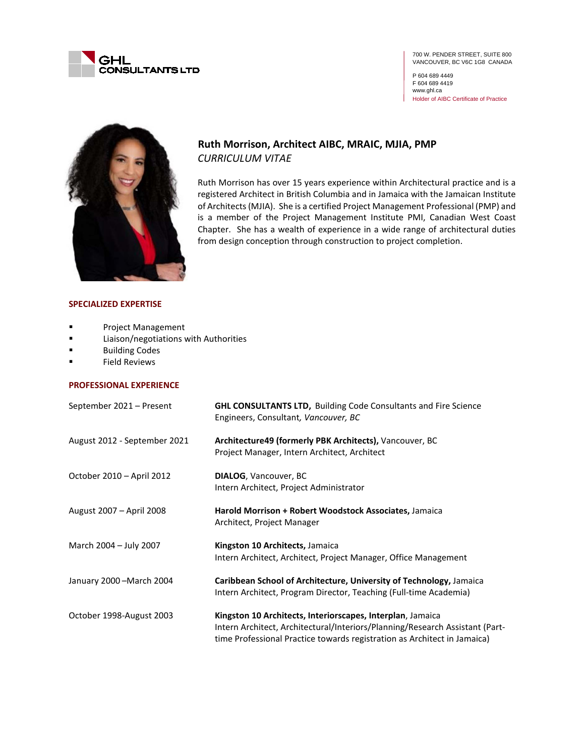

700 W. PENDER STREET, SUITE 800 VANCOUVER, BC V6C 1G8 CANADA

P 604 689 4449 F 604 689 4419 www.ghl.ca Holder of AIBC Certificate of Practice



# **Ruth Morrison, Architect AIBC, MRAIC, MJIA, PMP** *CURRICULUM VITAE*

Ruth Morrison has over 15 years experience within Architectural practice and is a registered Architect in British Columbia and in Jamaica with the Jamaican Institute of Architects (MJIA). She is a certified Project Management Professional (PMP) and is a member of the Project Management Institute PMI, Canadian West Coast Chapter. She has a wealth of experience in a wide range of architectural duties from design conception through construction to project completion.

#### **SPECIALIZED EXPERTISE**

- **Project Management**
- **Example 21 Elimon/negotiations with Authorities**
- **Building Codes**
- **Field Reviews**

### **PROFESSIONAL EXPERIENCE**

| September 2021 - Present     | <b>GHL CONSULTANTS LTD, Building Code Consultants and Fire Science</b><br>Engineers, Consultant, Vancouver, BC                                                                                                         |
|------------------------------|------------------------------------------------------------------------------------------------------------------------------------------------------------------------------------------------------------------------|
| August 2012 - September 2021 | Architecture49 (formerly PBK Architects), Vancouver, BC<br>Project Manager, Intern Architect, Architect                                                                                                                |
| October 2010 - April 2012    | <b>DIALOG, Vancouver, BC</b><br>Intern Architect, Project Administrator                                                                                                                                                |
| August 2007 - April 2008     | Harold Morrison + Robert Woodstock Associates, Jamaica<br>Architect, Project Manager                                                                                                                                   |
| March 2004 - July 2007       | Kingston 10 Architects, Jamaica<br>Intern Architect, Architect, Project Manager, Office Management                                                                                                                     |
| January 2000 - March 2004    | Caribbean School of Architecture, University of Technology, Jamaica<br>Intern Architect, Program Director, Teaching (Full-time Academia)                                                                               |
| October 1998-August 2003     | Kingston 10 Architects, Interiorscapes, Interplan, Jamaica<br>Intern Architect, Architectural/Interiors/Planning/Research Assistant (Part-<br>time Professional Practice towards registration as Architect in Jamaica) |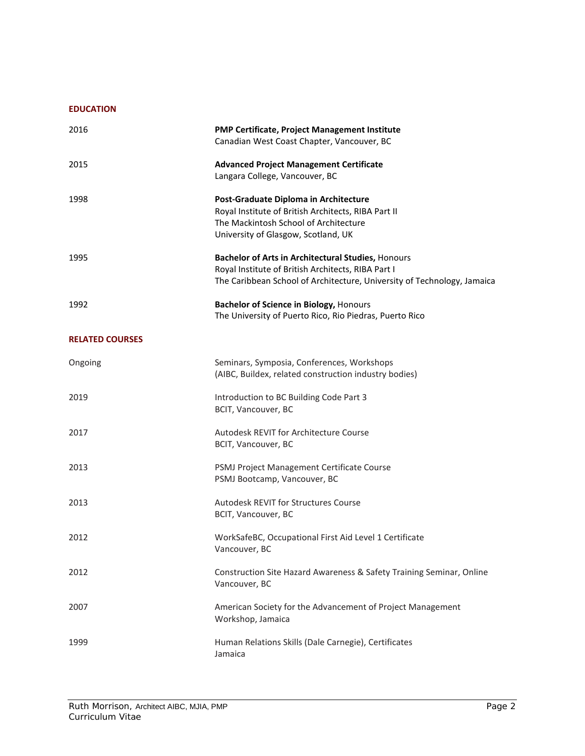### **EDUCATION**

| 2016                   | PMP Certificate, Project Management Institute<br>Canadian West Coast Chapter, Vancouver, BC                                                                                         |
|------------------------|-------------------------------------------------------------------------------------------------------------------------------------------------------------------------------------|
| 2015                   | <b>Advanced Project Management Certificate</b><br>Langara College, Vancouver, BC                                                                                                    |
| 1998                   | Post-Graduate Diploma in Architecture<br>Royal Institute of British Architects, RIBA Part II<br>The Mackintosh School of Architecture<br>University of Glasgow, Scotland, UK        |
| 1995                   | Bachelor of Arts in Architectural Studies, Honours<br>Royal Institute of British Architects, RIBA Part I<br>The Caribbean School of Architecture, University of Technology, Jamaica |
| 1992                   | <b>Bachelor of Science in Biology, Honours</b><br>The University of Puerto Rico, Rio Piedras, Puerto Rico                                                                           |
| <b>RELATED COURSES</b> |                                                                                                                                                                                     |
| Ongoing                | Seminars, Symposia, Conferences, Workshops<br>(AIBC, Buildex, related construction industry bodies)                                                                                 |
| 2019                   | Introduction to BC Building Code Part 3<br>BCIT, Vancouver, BC                                                                                                                      |
| 2017                   | Autodesk REVIT for Architecture Course<br>BCIT, Vancouver, BC                                                                                                                       |
| 2013                   | PSMJ Project Management Certificate Course<br>PSMJ Bootcamp, Vancouver, BC                                                                                                          |
| 2013                   | Autodesk REVIT for Structures Course<br>BCIT, Vancouver, BC                                                                                                                         |
| 2012                   | WorkSafeBC, Occupational First Aid Level 1 Certificate<br>Vancouver, BC                                                                                                             |
| 2012                   | Construction Site Hazard Awareness & Safety Training Seminar, Online<br>Vancouver, BC                                                                                               |
| 2007                   | American Society for the Advancement of Project Management<br>Workshop, Jamaica                                                                                                     |
| 1999                   | Human Relations Skills (Dale Carnegie), Certificates<br>Jamaica                                                                                                                     |